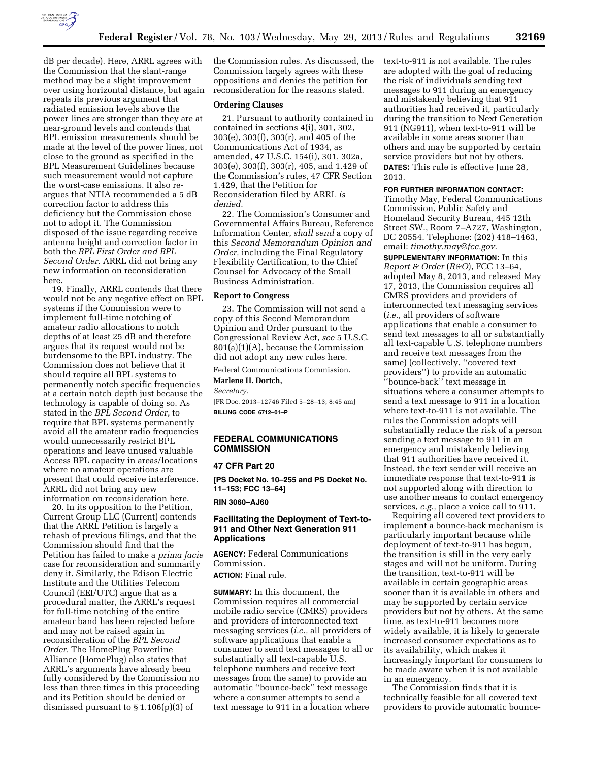

dB per decade). Here, ARRL agrees with the Commission that the slant-range method may be a slight improvement over using horizontal distance, but again repeats its previous argument that radiated emission levels above the power lines are stronger than they are at near-ground levels and contends that BPL emission measurements should be made at the level of the power lines, not close to the ground as specified in the BPL Measurement Guidelines because such measurement would not capture the worst-case emissions. It also reargues that NTIA recommended a 5 dB correction factor to address this deficiency but the Commission chose not to adopt it. The Commission disposed of the issue regarding receive antenna height and correction factor in both the *BPL First Order and BPL Second Order.* ARRL did not bring any new information on reconsideration here.

19. Finally, ARRL contends that there would not be any negative effect on BPL systems if the Commission were to implement full-time notching of amateur radio allocations to notch depths of at least 25 dB and therefore argues that its request would not be burdensome to the BPL industry. The Commission does not believe that it should require all BPL systems to permanently notch specific frequencies at a certain notch depth just because the technology is capable of doing so. As stated in the *BPL Second Order,* to require that BPL systems permanently avoid all the amateur radio frequencies would unnecessarily restrict BPL operations and leave unused valuable Access BPL capacity in areas/locations where no amateur operations are present that could receive interference. ARRL did not bring any new information on reconsideration here.

20. In its opposition to the Petition, Current Group LLC (Current) contends that the ARRL Petition is largely a rehash of previous filings, and that the Commission should find that the Petition has failed to make a *prima facie*  case for reconsideration and summarily deny it. Similarly, the Edison Electric Institute and the Utilities Telecom Council (EEI/UTC) argue that as a procedural matter, the ARRL's request for full-time notching of the entire amateur band has been rejected before and may not be raised again in reconsideration of the *BPL Second Order.* The HomePlug Powerline Alliance (HomePlug) also states that ARRL's arguments have already been fully considered by the Commission no less than three times in this proceeding and its Petition should be denied or dismissed pursuant to § 1.106(p)(3) of

the Commission rules. As discussed, the Commission largely agrees with these oppositions and denies the petition for reconsideration for the reasons stated.

## **Ordering Clauses**

21. Pursuant to authority contained in contained in sections 4(i), 301, 302, 303(e), 303(f), 303(r), and 405 of the Communications Act of 1934, as amended, 47 U.S.C. 154(i), 301, 302a, 303(e), 303(f), 303(r), 405, and 1.429 of the Commission's rules, 47 CFR Section 1.429, that the Petition for Reconsideration filed by ARRL *is denied.* 

22. The Commission's Consumer and Governmental Affairs Bureau, Reference Information Center, *shall send* a copy of this *Second Memorandum Opinion and Order,* including the Final Regulatory Flexibility Certification, to the Chief Counsel for Advocacy of the Small Business Administration.

#### **Report to Congress**

23. The Commission will not send a copy of this Second Memorandum Opinion and Order pursuant to the Congressional Review Act, *see* 5 U.S.C. 801(a)(1)(A), because the Commission did not adopt any new rules here.

Federal Communications Commission.

# **Marlene H. Dortch,**

*Secretary.* 

[FR Doc. 2013–12746 Filed 5–28–13; 8:45 am] **BILLING CODE 6712–01–P** 

# **FEDERAL COMMUNICATIONS COMMISSION**

#### **47 CFR Part 20**

**[PS Docket No. 10–255 and PS Docket No. 11–153; FCC 13–64]** 

**RIN 3060–AJ60** 

## **Facilitating the Deployment of Text-to-911 and Other Next Generation 911 Applications**

**AGENCY:** Federal Communications Commission.

**ACTION:** Final rule.

**SUMMARY:** In this document, the Commission requires all commercial mobile radio service (CMRS) providers and providers of interconnected text messaging services (*i.e.,* all providers of software applications that enable a consumer to send text messages to all or substantially all text-capable U.S. telephone numbers and receive text messages from the same) to provide an automatic ''bounce-back'' text message where a consumer attempts to send a text message to 911 in a location where

text-to-911 is not available. The rules are adopted with the goal of reducing the risk of individuals sending text messages to 911 during an emergency and mistakenly believing that 911 authorities had received it, particularly during the transition to Next Generation 911 (NG911), when text-to-911 will be available in some areas sooner than others and may be supported by certain service providers but not by others. **DATES:** This rule is effective June 28, 2013.

#### **FOR FURTHER INFORMATION CONTACT:**

Timothy May, Federal Communications Commission, Public Safety and Homeland Security Bureau, 445 12th Street SW., Room 7–A727, Washington, DC 20554. Telephone: (202) 418–1463, email: *[timothy.may@fcc.gov](mailto:timothy.may@fcc.gov)*.

**SUPPLEMENTARY INFORMATION:** In this *Report & Order* (*R&O*), FCC 13–64, adopted May 8, 2013, and released May 17, 2013, the Commission requires all CMRS providers and providers of interconnected text messaging services (*i.e.,* all providers of software applications that enable a consumer to send text messages to all or substantially all text-capable U.S. telephone numbers and receive text messages from the same) (collectively, ''covered text providers'') to provide an automatic ''bounce-back'' text message in situations where a consumer attempts to send a text message to 911 in a location where text-to-911 is not available. The rules the Commission adopts will substantially reduce the risk of a person sending a text message to 911 in an emergency and mistakenly believing that 911 authorities have received it. Instead, the text sender will receive an immediate response that text-to-911 is not supported along with direction to use another means to contact emergency services, *e.g.,* place a voice call to 911.

Requiring all covered text providers to implement a bounce-back mechanism is particularly important because while deployment of text-to-911 has begun, the transition is still in the very early stages and will not be uniform. During the transition, text-to-911 will be available in certain geographic areas sooner than it is available in others and may be supported by certain service providers but not by others. At the same time, as text-to-911 becomes more widely available, it is likely to generate increased consumer expectations as to its availability, which makes it increasingly important for consumers to be made aware when it is not available in an emergency.

The Commission finds that it is technically feasible for all covered text providers to provide automatic bounce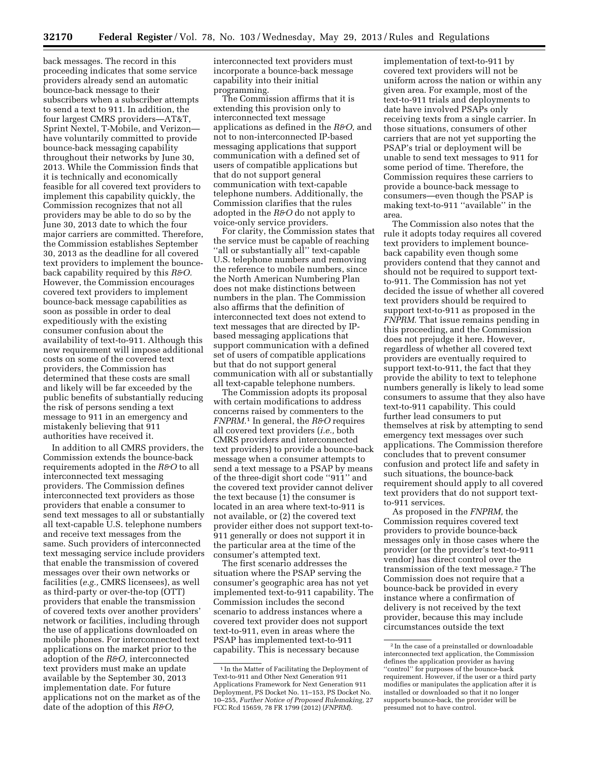back messages. The record in this proceeding indicates that some service providers already send an automatic bounce-back message to their subscribers when a subscriber attempts to send a text to 911. In addition, the four largest CMRS providers—AT&T, Sprint Nextel, T-Mobile, and Verizon have voluntarily committed to provide bounce-back messaging capability throughout their networks by June 30, 2013. While the Commission finds that it is technically and economically feasible for all covered text providers to implement this capability quickly, the Commission recognizes that not all providers may be able to do so by the June 30, 2013 date to which the four major carriers are committed. Therefore, the Commission establishes September 30, 2013 as the deadline for all covered text providers to implement the bounceback capability required by this *R&O.*  However, the Commission encourages covered text providers to implement bounce-back message capabilities as soon as possible in order to deal expeditiously with the existing consumer confusion about the availability of text-to-911. Although this new requirement will impose additional costs on some of the covered text providers, the Commission has determined that these costs are small and likely will be far exceeded by the public benefits of substantially reducing the risk of persons sending a text message to 911 in an emergency and mistakenly believing that 911 authorities have received it.

In addition to all CMRS providers, the Commission extends the bounce-back requirements adopted in the *R&O* to all interconnected text messaging providers. The Commission defines interconnected text providers as those providers that enable a consumer to send text messages to all or substantially all text-capable U.S. telephone numbers and receive text messages from the same. Such providers of interconnected text messaging service include providers that enable the transmission of covered messages over their own networks or facilities (*e.g.,* CMRS licensees), as well as third-party or over-the-top (OTT) providers that enable the transmission of covered texts over another providers' network or facilities, including through the use of applications downloaded on mobile phones. For interconnected text applications on the market prior to the adoption of the *R&O,* interconnected text providers must make an update available by the September 30, 2013 implementation date. For future applications not on the market as of the date of the adoption of this *R&O,* 

interconnected text providers must incorporate a bounce-back message capability into their initial programming.

The Commission affirms that it is extending this provision only to interconnected text message applications as defined in the *R&O,* and not to non-interconnected IP-based messaging applications that support communication with a defined set of users of compatible applications but that do not support general communication with text-capable telephone numbers. Additionally, the Commission clarifies that the rules adopted in the *R&O* do not apply to voice-only service providers.

For clarity, the Commission states that the service must be capable of reaching ''all or substantially all'' text-capable U.S. telephone numbers and removing the reference to mobile numbers, since the North American Numbering Plan does not make distinctions between numbers in the plan. The Commission also affirms that the definition of interconnected text does not extend to text messages that are directed by IPbased messaging applications that support communication with a defined set of users of compatible applications but that do not support general communication with all or substantially all text-capable telephone numbers.

The Commission adopts its proposal with certain modifications to address concerns raised by commenters to the *FNPRM.*1 In general, the *R&O* requires all covered text providers (*i.e.,* both CMRS providers and interconnected text providers) to provide a bounce-back message when a consumer attempts to send a text message to a PSAP by means of the three-digit short code ''911'' and the covered text provider cannot deliver the text because (1) the consumer is located in an area where text-to-911 is not available, or (2) the covered text provider either does not support text-to-911 generally or does not support it in the particular area at the time of the consumer's attempted text.

The first scenario addresses the situation where the PSAP serving the consumer's geographic area has not yet implemented text-to-911 capability. The Commission includes the second scenario to address instances where a covered text provider does not support text-to-911, even in areas where the PSAP has implemented text-to-911 capability. This is necessary because

implementation of text-to-911 by covered text providers will not be uniform across the nation or within any given area. For example, most of the text-to-911 trials and deployments to date have involved PSAPs only receiving texts from a single carrier. In those situations, consumers of other carriers that are not yet supporting the PSAP's trial or deployment will be unable to send text messages to 911 for some period of time. Therefore, the Commission requires these carriers to provide a bounce-back message to consumers—even though the PSAP is making text-to-911 ''available'' in the area.

The Commission also notes that the rule it adopts today requires all covered text providers to implement bounceback capability even though some providers contend that they cannot and should not be required to support textto-911. The Commission has not yet decided the issue of whether all covered text providers should be required to support text-to-911 as proposed in the *FNPRM.* That issue remains pending in this proceeding, and the Commission does not prejudge it here. However, regardless of whether all covered text providers are eventually required to support text-to-911, the fact that they provide the ability to text to telephone numbers generally is likely to lead some consumers to assume that they also have text-to-911 capability. This could further lead consumers to put themselves at risk by attempting to send emergency text messages over such applications. The Commission therefore concludes that to prevent consumer confusion and protect life and safety in such situations, the bounce-back requirement should apply to all covered text providers that do not support textto-911 services.

As proposed in the *FNPRM,* the Commission requires covered text providers to provide bounce-back messages only in those cases where the provider (or the provider's text-to-911 vendor) has direct control over the transmission of the text message.2 The Commission does not require that a bounce-back be provided in every instance where a confirmation of delivery is not received by the text provider, because this may include circumstances outside the text

<sup>&</sup>lt;sup>1</sup> In the Matter of Facilitating the Deployment of Text-to-911 and Other Next Generation 911 Applications Framework for Next Generation 911 Deployment, PS Docket No. 11–153, PS Docket No. 10–255, *Further Notice of Proposed Rulemaking,* 27 FCC Rcd 15659, 78 FR 1799 (2012) (*FNPRM*).

<sup>2</sup> In the case of a preinstalled or downloadable interconnected text application, the Commission defines the application provider as having ''control'' for purposes of the bounce-back requirement. However, if the user or a third party modifies or manipulates the application after it is installed or downloaded so that it no longer supports bounce-back, the provider will be presumed not to have control.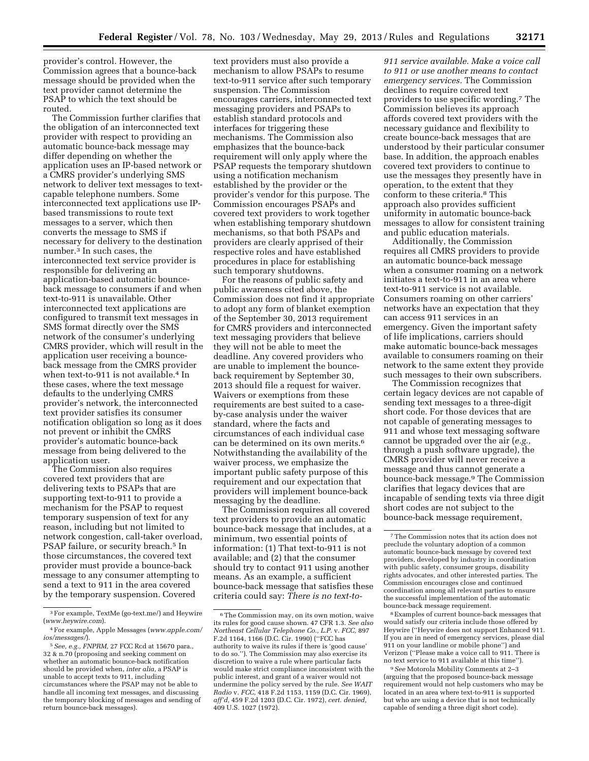provider's control. However, the Commission agrees that a bounce-back message should be provided when the text provider cannot determine the PSAP to which the text should be routed.

The Commission further clarifies that the obligation of an interconnected text provider with respect to providing an automatic bounce-back message may differ depending on whether the application uses an IP-based network or a CMRS provider's underlying SMS network to deliver text messages to textcapable telephone numbers. Some interconnected text applications use IPbased transmissions to route text messages to a server, which then converts the message to SMS if necessary for delivery to the destination number.3 In such cases, the interconnected text service provider is responsible for delivering an application-based automatic bounceback message to consumers if and when text-to-911 is unavailable. Other interconnected text applications are configured to transmit text messages in SMS format directly over the SMS network of the consumer's underlying CMRS provider, which will result in the application user receiving a bounceback message from the CMRS provider when text-to-911 is not available.4 In these cases, where the text message defaults to the underlying CMRS provider's network, the interconnected text provider satisfies its consumer notification obligation so long as it does not prevent or inhibit the CMRS provider's automatic bounce-back message from being delivered to the application user.

The Commission also requires covered text providers that are delivering texts to PSAPs that are supporting text-to-911 to provide a mechanism for the PSAP to request temporary suspension of text for any reason, including but not limited to network congestion, call-taker overload, PSAP failure, or security breach.<sup>5</sup> In those circumstances, the covered text provider must provide a bounce-back message to any consumer attempting to send a text to 911 in the area covered by the temporary suspension. Covered

text providers must also provide a mechanism to allow PSAPs to resume text-to-911 service after such temporary suspension. The Commission encourages carriers, interconnected text messaging providers and PSAPs to establish standard protocols and interfaces for triggering these mechanisms. The Commission also emphasizes that the bounce-back requirement will only apply where the PSAP requests the temporary shutdown using a notification mechanism established by the provider or the provider's vendor for this purpose. The Commission encourages PSAPs and covered text providers to work together when establishing temporary shutdown mechanisms, so that both PSAPs and providers are clearly apprised of their respective roles and have established procedures in place for establishing such temporary shutdowns.

For the reasons of public safety and public awareness cited above, the Commission does not find it appropriate to adopt any form of blanket exemption of the September 30, 2013 requirement for CMRS providers and interconnected text messaging providers that believe they will not be able to meet the deadline. Any covered providers who are unable to implement the bounceback requirement by September 30, 2013 should file a request for waiver. Waivers or exemptions from these requirements are best suited to a caseby-case analysis under the waiver standard, where the facts and circumstances of each individual case can be determined on its own merits.6 Notwithstanding the availability of the waiver process, we emphasize the important public safety purpose of this requirement and our expectation that providers will implement bounce-back messaging by the deadline.

The Commission requires all covered text providers to provide an automatic bounce-back message that includes, at a minimum, two essential points of information: (1) That text-to-911 is not available; and (2) that the consumer should try to contact 911 using another means. As an example, a sufficient bounce-back message that satisfies these criteria could say: *There is no text-to-*

*911 service available. Make a voice call to 911 or use another means to contact emergency services.* The Commission declines to require covered text providers to use specific wording.7 The Commission believes its approach affords covered text providers with the necessary guidance and flexibility to create bounce-back messages that are understood by their particular consumer base. In addition, the approach enables covered text providers to continue to use the messages they presently have in operation, to the extent that they conform to these criteria.8 This approach also provides sufficient uniformity in automatic bounce-back messages to allow for consistent training and public education materials.

Additionally, the Commission requires all CMRS providers to provide an automatic bounce-back message when a consumer roaming on a network initiates a text-to-911 in an area where text-to-911 service is not available. Consumers roaming on other carriers' networks have an expectation that they can access 911 services in an emergency. Given the important safety of life implications, carriers should make automatic bounce-back messages available to consumers roaming on their network to the same extent they provide such messages to their own subscribers.

The Commission recognizes that certain legacy devices are not capable of sending text messages to a three-digit short code. For those devices that are not capable of generating messages to 911 and whose text messaging software cannot be upgraded over the air (*e.g.,*  through a push software upgrade), the CMRS provider will never receive a message and thus cannot generate a bounce-back message.9 The Commission clarifies that legacy devices that are incapable of sending texts via three digit short codes are not subject to the bounce-back message requirement,

8Examples of current bounce-back messages that would satisfy our criteria include those offered by Heywire (''Heywire does not support Enhanced 911. If you are in need of emergency services, please dial 911 on your landline or mobile phone'') and Verizon (''Please make a voice call to 911. There is no text service to 911 available at this time'').

9*See* Motorola Mobility Comments at 2–3 (arguing that the proposed bounce-back message requirement would not help customers who may be located in an area where text-to-911 is supported but who are using a device that is not technically capable of sending a three digit short code).

<sup>3</sup>For example, TextMe (go-text.me/) and Heywire (*[www.heywire.com](http://www.heywire.com)*).

<sup>4</sup>For example, Apple Messages (*[www.apple.com/](http://www.apple.com/ios/messages/) [ios/messages/](http://www.apple.com/ios/messages/)*).

<sup>5</sup>*See, e.g., FNPRM,* 27 FCC Rcd at 15670 para., 32 & n.70 (proposing and seeking comment on whether an automatic bounce-back notification should be provided when, *inter alia,* a PSAP is unable to accept texts to 911, including circumstances where the PSAP may not be able to handle all incoming text messages, and discussing the temporary blocking of messages and sending of return bounce-back messages).

<sup>6</sup>The Commission may, on its own motion, waive its rules for good cause shown. 47 CFR 1.3. *See also Northeast Cellular Telephone Co., L.P.* v. *FCC,* 897 F.2d 1164, 1166 (D.C. Cir. 1990) (''FCC has authority to waive its rules if there is 'good cause' to do so.''). The Commission may also exercise its discretion to waive a rule where particular facts would make strict compliance inconsistent with the public interest, and grant of a waiver would not undermine the policy served by the rule. *See WAIT Radio* v. *FCC,* 418 F.2d 1153, 1159 (D.C. Cir. 1969), *aff'd,* 459 F.2d 1203 (D.C. Cir. 1972), *cert. denied,*  409 U.S. 1027 (1972).

<sup>7</sup>The Commission notes that its action does not preclude the voluntary adoption of a common automatic bounce-back message by covered text providers, developed by industry in coordination with public safety, consumer groups, disability rights advocates, and other interested parties. The Commission encourages close and continued coordination among all relevant parties to ensure the successful implementation of the automatic bounce-back message requirement.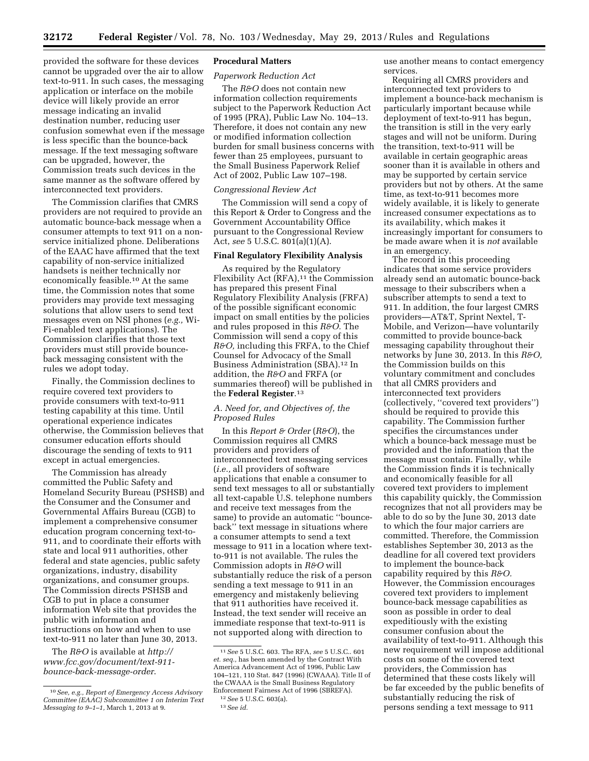provided the software for these devices cannot be upgraded over the air to allow text-to-911. In such cases, the messaging application or interface on the mobile device will likely provide an error message indicating an invalid destination number, reducing user confusion somewhat even if the message is less specific than the bounce-back message. If the text messaging software can be upgraded, however, the Commission treats such devices in the same manner as the software offered by interconnected text providers.

The Commission clarifies that CMRS providers are not required to provide an automatic bounce-back message when a consumer attempts to text 911 on a nonservice initialized phone. Deliberations of the EAAC have affirmed that the text capability of non-service initialized handsets is neither technically nor economically feasible.10 At the same time, the Commission notes that some providers may provide text messaging solutions that allow users to send text messages even on NSI phones (*e.g.,* Wi-Fi-enabled text applications). The Commission clarifies that those text providers must still provide bounceback messaging consistent with the rules we adopt today.

Finally, the Commission declines to require covered text providers to provide consumers with text-to-911 testing capability at this time. Until operational experience indicates otherwise, the Commission believes that consumer education efforts should discourage the sending of texts to 911 except in actual emergencies.

The Commission has already committed the Public Safety and Homeland Security Bureau (PSHSB) and the Consumer and the Consumer and Governmental Affairs Bureau (CGB) to implement a comprehensive consumer education program concerning text-to-911, and to coordinate their efforts with state and local 911 authorities, other federal and state agencies, public safety organizations, industry, disability organizations, and consumer groups. The Commission directs PSHSB and CGB to put in place a consumer information Web site that provides the public with information and instructions on how and when to use text-to-911 no later than June 30, 2013.

The *R&O* is available at *[http://](http://www.fcc.gov/document/text-911-bounce-back-message-order)  [www.fcc.gov/document/text-911](http://www.fcc.gov/document/text-911-bounce-back-message-order)  [bounce-back-message-order](http://www.fcc.gov/document/text-911-bounce-back-message-order)*.

### **Procedural Matters**

# *Paperwork Reduction Act*

The *R&O* does not contain new information collection requirements subject to the Paperwork Reduction Act of 1995 (PRA), Public Law No. 104–13. Therefore, it does not contain any new or modified information collection burden for small business concerns with fewer than 25 employees, pursuant to the Small Business Paperwork Relief Act of 2002, Public Law 107–198.

#### *Congressional Review Act*

The Commission will send a copy of this Report & Order to Congress and the Government Accountability Office pursuant to the Congressional Review Act, *see* 5 U.S.C. 801(a)(1)(A).

## **Final Regulatory Flexibility Analysis**

As required by the Regulatory Flexibility Act  $(RFA)$ ,<sup>11</sup> the Commission has prepared this present Final Regulatory Flexibility Analysis (FRFA) of the possible significant economic impact on small entities by the policies and rules proposed in this *R&O.* The Commission will send a copy of this *R&O,* including this FRFA, to the Chief Counsel for Advocacy of the Small Business Administration (SBA).12 In addition, the *R&O* and FRFA (or summaries thereof) will be published in the **Federal Register**.13

# *A. Need for, and Objectives of, the Proposed Rules*

In this *Report & Order* (*R&O*), the Commission requires all CMRS providers and providers of interconnected text messaging services (*i.e.,* all providers of software applications that enable a consumer to send text messages to all or substantially all text-capable U.S. telephone numbers and receive text messages from the same) to provide an automatic ''bounceback'' text message in situations where a consumer attempts to send a text message to 911 in a location where textto-911 is not available. The rules the Commission adopts in *R&O* will substantially reduce the risk of a person sending a text message to 911 in an emergency and mistakenly believing that 911 authorities have received it. Instead, the text sender will receive an immediate response that text-to-911 is not supported along with direction to

use another means to contact emergency services.

Requiring all CMRS providers and interconnected text providers to implement a bounce-back mechanism is particularly important because while deployment of text-to-911 has begun, the transition is still in the very early stages and will not be uniform. During the transition, text-to-911 will be available in certain geographic areas sooner than it is available in others and may be supported by certain service providers but not by others. At the same time, as text-to-911 becomes more widely available, it is likely to generate increased consumer expectations as to its availability, which makes it increasingly important for consumers to be made aware when it is *not* available in an emergency.

The record in this proceeding indicates that some service providers already send an automatic bounce-back message to their subscribers when a subscriber attempts to send a text to 911. In addition, the four largest CMRS providers—AT&T, Sprint Nextel, T-Mobile, and Verizon—have voluntarily committed to provide bounce-back messaging capability throughout their networks by June 30, 2013. In this *R&O,*  the Commission builds on this voluntary commitment and concludes that all CMRS providers and interconnected text providers (collectively, ''covered text providers'') should be required to provide this capability. The Commission further specifies the circumstances under which a bounce-back message must be provided and the information that the message must contain. Finally, while the Commission finds it is technically and economically feasible for all covered text providers to implement this capability quickly, the Commission recognizes that not all providers may be able to do so by the June 30, 2013 date to which the four major carriers are committed. Therefore, the Commission establishes September 30, 2013 as the deadline for all covered text providers to implement the bounce-back capability required by this *R&O.*  However, the Commission encourages covered text providers to implement bounce-back message capabilities as soon as possible in order to deal expeditiously with the existing consumer confusion about the availability of text-to-911. Although this new requirement will impose additional costs on some of the covered text providers, the Commission has determined that these costs likely will be far exceeded by the public benefits of substantially reducing the risk of persons sending a text message to 911

<sup>10</sup>*See, e.g., Report of Emergency Access Advisory Committee (EAAC) Subcommittee 1 on Interim Text Messaging to 9–1–1,* March 1, 2013 at 9.

<sup>11</sup>*See* 5 U.S.C. 603. The RFA, *see* 5 U.S.C.. 601 *et. seq.,* has been amended by the Contract With America Advancement Act of 1996, Public Law 104–121, 110 Stat. 847 (1996) (CWAAA). Title II of the CWAAA is the Small Business Regulatory Enforcement Fairness Act of 1996 (SBREFA).

<sup>12</sup>*See* 5 U.S.C. 603(a).

<sup>13</sup>*See id.*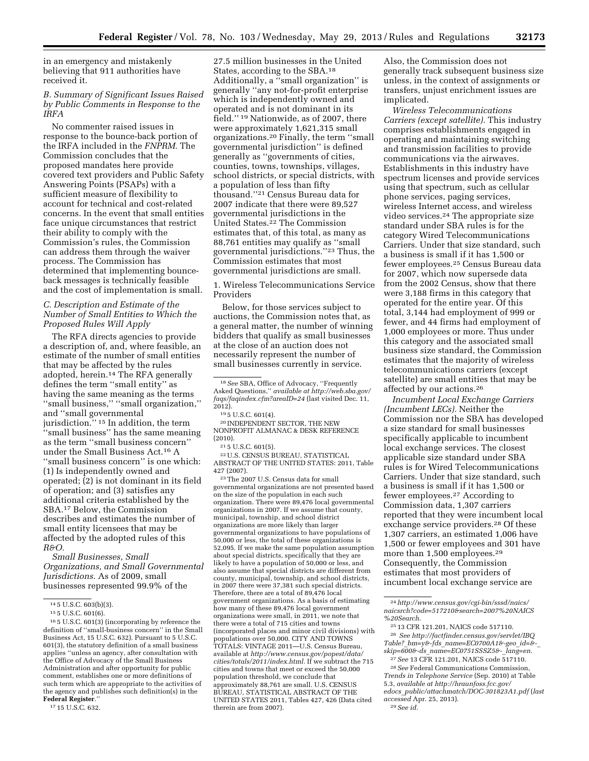in an emergency and mistakenly believing that 911 authorities have received it.

## *B. Summary of Significant Issues Raised by Public Comments in Response to the IRFA*

No commenter raised issues in response to the bounce-back portion of the IRFA included in the *FNPRM.* The Commission concludes that the proposed mandates here provide covered text providers and Public Safety Answering Points (PSAPs) with a sufficient measure of flexibility to account for technical and cost-related concerns. In the event that small entities face unique circumstances that restrict their ability to comply with the Commission's rules, the Commission can address them through the waiver process. The Commission has determined that implementing bounceback messages is technically feasible and the cost of implementation is small.

## *C. Description and Estimate of the Number of Small Entities to Which the Proposed Rules Will Apply*

The RFA directs agencies to provide a description of, and, where feasible, an estimate of the number of small entities that may be affected by the rules adopted, herein.14 The RFA generally defines the term ''small entity'' as having the same meaning as the terms ''small business,'' ''small organization,'' and ''small governmental jurisdiction."<sup>15</sup> In addition, the term ''small business'' has the same meaning as the term ''small business concern'' under the Small Business Act.16 A ''small business concern'' is one which: (1) Is independently owned and operated; (2) is not dominant in its field of operation; and (3) satisfies any additional criteria established by the SBA.17 Below, the Commission describes and estimates the number of small entity licensees that may be affected by the adopted rules of this *R&O.* 

*Small Businesses, Small Organizations, and Small Governmental Jurisdictions.* As of 2009, small businesses represented 99.9% of the

16 5 U.S.C. 601(3) (incorporating by reference the definition of ''small-business concern'' in the Small Business Act, 15 U.S.C. 632). Pursuant to 5 U.S.C. 601(3), the statutory definition of a small business applies ''unless an agency, after consultation with the Office of Advocacy of the Small Business Administration and after opportunity for public comment, establishes one or more definitions of such term which are appropriate to the activities of the agency and publishes such definition(s) in the Federal Register.

17 15 U.S.C. 632.

27.5 million businesses in the United States, according to the SBA.18 Additionally, a ''small organization'' is generally ''any not-for-profit enterprise which is independently owned and operated and is not dominant in its field.'' 19 Nationwide, as of 2007, there were approximately 1,621,315 small organizations.20 Finally, the term ''small governmental jurisdiction'' is defined generally as ''governments of cities, counties, towns, townships, villages, school districts, or special districts, with a population of less than fifty thousand.''21 Census Bureau data for 2007 indicate that there were 89,527 governmental jurisdictions in the United States.22 The Commission estimates that, of this total, as many as 88,761 entities may qualify as ''small governmental jurisdictions.''23 Thus, the Commission estimates that most governmental jurisdictions are small.

1. Wireless Telecommunications Service Providers

Below, for those services subject to auctions, the Commission notes that, as a general matter, the number of winning bidders that qualify as small businesses at the close of an auction does not necessarily represent the number of small businesses currently in service.

20 INDEPENDENT SECTOR, THE NEW NONPROFIT ALMANAC & DESK REFERENCE (2010).

22U.S. CENSUS BUREAU, STATISTICAL ABSTRACT OF THE UNITED STATES: 2011, Table 427 (2007).

23The 2007 U.S. Census data for small governmental organizations are not presented based on the size of the population in each such organization. There were 89,476 local governmental organizations in 2007. If we assume that county, municipal, township, and school district organizations are more likely than larger governmental organizations to have populations of 50,000 or less, the total of these organizations is 52,095. If we make the same population assumption about special districts, specifically that they are likely to have a population of 50,000 or less, and also assume that special districts are different from county, municipal, township, and school districts, in 2007 there were 37,381 such special districts. Therefore, there are a total of 89,476 local government organizations. As a basis of estimating how many of these 89,476 local government organizations were small, in 2011, we note that there were a total of 715 cities and towns (incorporated places and minor civil divisions) with populations over 50,000. CITY AND TOWNS TOTALS: VINTAGE 2011—U.S. Census Bureau, available at *[http://www.census.gov/popest/data/](http://www.census.gov/popest/data/cities/totals/2011/index.html) [cities/totals/2011/index.html.](http://www.census.gov/popest/data/cities/totals/2011/index.html)* If we subtract the 715 cities and towns that meet or exceed the 50,000 population threshold, we conclude that approximately 88,761 are small. U.S. CENSUS BUREAU, STATISTICAL ABSTRACT OF THE UNITED STATES 2011, Tables 427, 426 (Data cited therein are from 2007).

Also, the Commission does not generally track subsequent business size unless, in the context of assignments or transfers, unjust enrichment issues are implicated.

*Wireless Telecommunications Carriers (except satellite).* This industry comprises establishments engaged in operating and maintaining switching and transmission facilities to provide communications via the airwaves. Establishments in this industry have spectrum licenses and provide services using that spectrum, such as cellular phone services, paging services, wireless Internet access, and wireless video services.24 The appropriate size standard under SBA rules is for the category Wired Telecommunications Carriers. Under that size standard, such a business is small if it has 1,500 or fewer employees.25 Census Bureau data for 2007, which now supersede data from the 2002 Census, show that there were 3,188 firms in this category that operated for the entire year. Of this total, 3,144 had employment of 999 or fewer, and 44 firms had employment of 1,000 employees or more. Thus under this category and the associated small business size standard, the Commission estimates that the majority of wireless telecommunications carriers (except satellite) are small entities that may be affected by our actions.26

*Incumbent Local Exchange Carriers (Incumbent LECs).* Neither the Commission nor the SBA has developed a size standard for small businesses specifically applicable to incumbent local exchange services. The closest applicable size standard under SBA rules is for Wired Telecommunications Carriers. Under that size standard, such a business is small if it has 1,500 or fewer employees.27 According to Commission data, 1,307 carriers reported that they were incumbent local exchange service providers.28 Of these 1,307 carriers, an estimated 1,006 have 1,500 or fewer employees and 301 have more than 1,500 employees.<sup>29</sup> Consequently, the Commission estimates that most providers of incumbent local exchange service are

<sup>14</sup> 5 U.S.C. 603(b)(3).

<sup>15</sup> 5 U.S.C. 601(6).

<sup>18</sup>*See* SBA, Office of Advocacy, ''Frequently Asked Questions,'' *available at [http://web.sba.gov/](http://web.sba.gov/faqs/faqindex.cfm?areaID=24) [faqs/faqindex.cfm?areaID=24](http://web.sba.gov/faqs/faqindex.cfm?areaID=24)* (last visited Dec. 11,  $2012$ ).

<sup>19</sup> 5 U.S.C. 601(4).

<sup>21</sup> 5 U.S.C. 601(5).

<sup>24</sup>*[http://www.census.gov/cgi-bin/sssd/naics/](http://www.census.gov/cgi-bin/sssd/naics/naicsrch?code=517210&search=2007%20NAICS%20Search) [naicsrch?code=517210&search=2007%20NAICS](http://www.census.gov/cgi-bin/sssd/naics/naicsrch?code=517210&search=2007%20NAICS%20Search) [%20Search](http://www.census.gov/cgi-bin/sssd/naics/naicsrch?code=517210&search=2007%20NAICS%20Search)*.

<sup>25</sup> 13 CFR 121.201, NAICS code 517110. 26 *See [http://factfinder.census.gov/servlet/IBQ](http://factfinder.census.gov/servlet/IBQTable?_bm=y&-fds_name=EC0700A1&-geo_id=&-_skip=600&-ds_name=EC0751SSSZ5&-_lang=en) Table?*\_*bm=y&-fds*\_*[name=EC0700A1&-geo](http://factfinder.census.gov/servlet/IBQTable?_bm=y&-fds_name=EC0700A1&-geo_id=&-_skip=600&-ds_name=EC0751SSSZ5&-_lang=en)*\_*id=&-*\_ *skip=600&-ds*\_*[name=EC0751SSSZ5&-](http://factfinder.census.gov/servlet/IBQTable?_bm=y&-fds_name=EC0700A1&-geo_id=&-_skip=600&-ds_name=EC0751SSSZ5&-_lang=en)*\_*lang=en*. 27*See* 13 CFR 121.201, NAICS code 517110.

<sup>28</sup>*See* Federal Communications Commission, *Trends in Telephone Service* (Sep. 2010) at Table 5.3, *available at [http://hraunfoss.fcc.gov/](http://hraunfoss.fcc.gov/edocs_public/attachmatch/DOC-301823A1.pdf) edocs*\_*[public/attachmatch/DOC-301823A1.pdf](http://hraunfoss.fcc.gov/edocs_public/attachmatch/DOC-301823A1.pdf)* (*last accessed* Apr. 25, 2013). 29*See id.*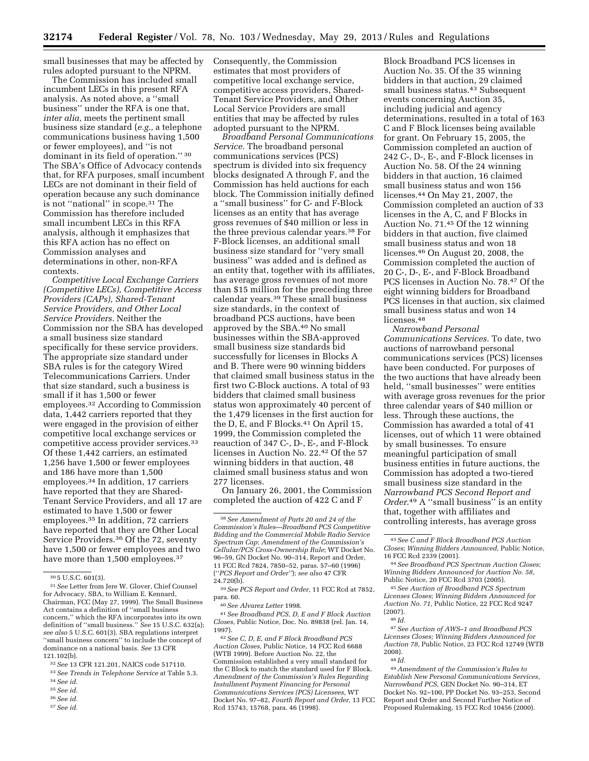small businesses that may be affected by rules adopted pursuant to the NPRM.

The Commission has included small incumbent LECs in this present RFA analysis. As noted above, a ''small business'' under the RFA is one that, *inter alia,* meets the pertinent small business size standard (*e.g.,* a telephone communications business having 1,500 or fewer employees), and ''is not dominant in its field of operation." 30 The SBA's Office of Advocacy contends that, for RFA purposes, small incumbent LECs are not dominant in their field of operation because any such dominance is not ''national'' in scope.31 The Commission has therefore included small incumbent LECs in this RFA analysis, although it emphasizes that this RFA action has no effect on Commission analyses and determinations in other, non-RFA contexts.

*Competitive Local Exchange Carriers (Competitive LECs), Competitive Access Providers (CAPs), Shared-Tenant Service Providers, and Other Local Service Providers.* Neither the Commission nor the SBA has developed a small business size standard specifically for these service providers. The appropriate size standard under SBA rules is for the category Wired Telecommunications Carriers. Under that size standard, such a business is small if it has 1,500 or fewer employees.32 According to Commission data, 1,442 carriers reported that they were engaged in the provision of either competitive local exchange services or competitive access provider services.33 Of these 1,442 carriers, an estimated 1,256 have 1,500 or fewer employees and 186 have more than 1,500 employees.34 In addition, 17 carriers have reported that they are Shared-Tenant Service Providers, and all 17 are estimated to have 1,500 or fewer employees.35 In addition, 72 carriers have reported that they are Other Local Service Providers.36 Of the 72, seventy have 1,500 or fewer employees and two have more than 1,500 employees.<sup>37</sup>

- 36*See id.*
- 37*See id.*

Consequently, the Commission estimates that most providers of competitive local exchange service, competitive access providers, Shared-Tenant Service Providers, and Other Local Service Providers are small entities that may be affected by rules adopted pursuant to the NPRM.

*Broadband Personal Communications Service.* The broadband personal communications services (PCS) spectrum is divided into six frequency blocks designated A through F, and the Commission has held auctions for each block. The Commission initially defined a ''small business'' for C- and F-Block licenses as an entity that has average gross revenues of \$40 million or less in the three previous calendar years.38 For F-Block licenses, an additional small business size standard for ''very small business'' was added and is defined as an entity that, together with its affiliates, has average gross revenues of not more than \$15 million for the preceding three calendar years.39 These small business size standards, in the context of broadband PCS auctions, have been approved by the SBA.40 No small businesses within the SBA-approved small business size standards bid successfully for licenses in Blocks A and B. There were 90 winning bidders that claimed small business status in the first two C-Block auctions. A total of 93 bidders that claimed small business status won approximately 40 percent of the 1,479 licenses in the first auction for the D, E, and F Blocks.<sup>41</sup> On April 15, 1999, the Commission completed the reauction of 347 C-, D-, E-, and F-Block licenses in Auction No. 22.42 Of the 57 winning bidders in that auction, 48 claimed small business status and won 277 licenses.

On January 26, 2001, the Commission completed the auction of 422 C and F

41*See Broadband PCS, D, E and F Block Auction Closes,* Public Notice, Doc. No. 89838 (rel. Jan. 14, 1997).

42*See C, D, E, and F Block Broadband PCS Auction Closes,* Public Notice, 14 FCC Rcd 6688 (WTB 1999). Before Auction No. 22, the Commission established a very small standard for the C Block to match the standard used for F Block. *Amendment of the Commission's Rules Regarding Installment Payment Financing for Personal Communications Services (PCS) Licensees,* WT Docket No. 97–82, *Fourth Report and Order,* 13 FCC Rcd 15743, 15768, para. 46 (1998).

Block Broadband PCS licenses in Auction No. 35. Of the 35 winning bidders in that auction, 29 claimed small business status.43 Subsequent events concerning Auction 35, including judicial and agency determinations, resulted in a total of 163 C and F Block licenses being available for grant. On February 15, 2005, the Commission completed an auction of 242 C-, D-, E-, and F-Block licenses in Auction No. 58. Of the 24 winning bidders in that auction, 16 claimed small business status and won 156 licenses.44 On May 21, 2007, the Commission completed an auction of 33 licenses in the A, C, and F Blocks in Auction No. 71.45 Of the 12 winning bidders in that auction, five claimed small business status and won 18 licenses.46 On August 20, 2008, the Commission completed the auction of 20 C-, D-, E-, and F-Block Broadband PCS licenses in Auction No. 78.47 Of the eight winning bidders for Broadband PCS licenses in that auction, six claimed small business status and won 14 licenses.<sup>48</sup>

*Narrowband Personal Communications Services.* To date, two auctions of narrowband personal communications services (PCS) licenses have been conducted. For purposes of the two auctions that have already been held, ''small businesses'' were entities with average gross revenues for the prior three calendar years of \$40 million or less. Through these auctions, the Commission has awarded a total of 41 licenses, out of which 11 were obtained by small businesses. To ensure meaningful participation of small business entities in future auctions, the Commission has adopted a two-tiered small business size standard in the *Narrowband PCS Second Report and Order*.49 A ''small business'' is an entity that, together with affiliates and controlling interests, has average gross

47*See Auction of AWS–1 and Broadband PCS Licenses Closes; Winning Bidders Announced for Auction 78,* Public Notice, 23 FCC Rcd 12749 (WTB 2008). 48 *Id.* 

<sup>30</sup> 5 U.S.C. 601(3).

<sup>31</sup>*See* Letter from Jere W. Glover, Chief Counsel for Advocacy, SBA, to William E. Kennard, Chairman, FCC (May 27, 1999). The Small Business Act contains a definition of ''small business concern,'' which the RFA incorporates into its own definition of ''small business.'' *See* 15 U.S.C. 632(a); *see also* 5 U.S.C. 601(3). SBA regulations interpret ''small business concern'' to include the concept of dominance on a national basis. *See* 13 CFR 121.102(b).

<sup>32</sup>*See* 13 CFR 121.201, NAICS code 517110.

<sup>33</sup>*See Trends in Telephone Service* at Table 5.3. 34*See id.* 

<sup>35</sup>*See id.* 

<sup>38</sup>*See Amendment of Parts 20 and 24 of the Commission's Rules—Broadband PCS Competitive Bidding and the Commercial Mobile Radio Service Spectrum Cap*; *Amendment of the Commission's Cellular/PCS Cross-Ownership Rule*; WT Docket No. 96–59, GN Docket No. 90–314, Report and Order, 11 FCC Rcd 7824, 7850–52, paras. 57–60 (1996) (''*PCS Report and Order''*); *see also* 47 CFR  $24.720(b)$ .

<sup>39</sup>*See PCS Report and Order,* 11 FCC Rcd at 7852, para. 60.

<sup>40</sup>*See Alvarez Letter* 1998.

<sup>43</sup>*See C and F Block Broadband PCS Auction Closes*; *Winning Bidders Announced,* Public Notice, 16 FCC Rcd 2339 (2001).

<sup>44</sup>*See Broadband PCS Spectrum Auction Closes*; *Winning Bidders Announced for Auction No. 58,*  Public Notice, 20 FCC Rcd 3703 (2005).

<sup>45</sup>*See Auction of Broadband PCS Spectrum Licenses Closes*; *Winning Bidders Announced for Auction No. 71,* Public Notice, 22 FCC Rcd 9247 (2007).

<sup>46</sup> *Id.* 

<sup>49</sup>*Amendment of the Commission's Rules to Establish New Personal Communications Services, Narrowband PCS,* GEN Docket No. 90–314, ET Docket No. 92–100, PP Docket No. 93–253, Second Report and Order and Second Further Notice of Proposed Rulemaking, 15 FCC Rcd 10456 (2000).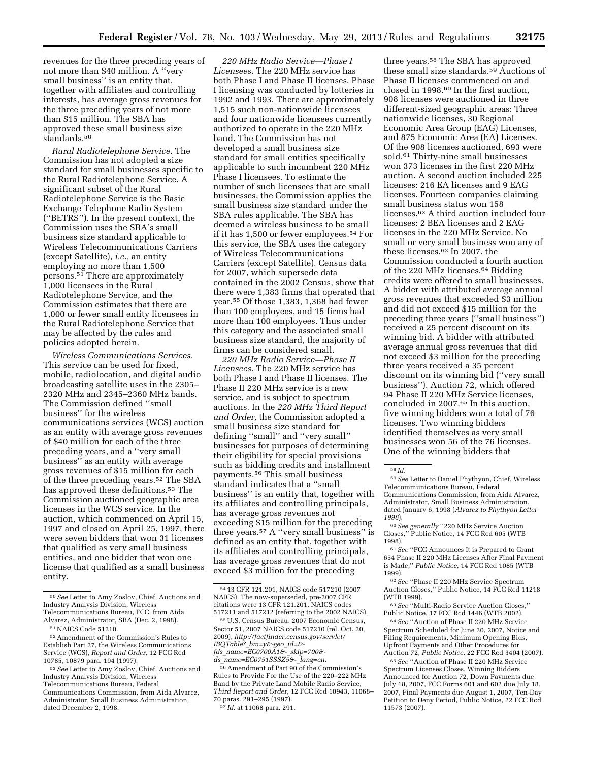revenues for the three preceding years of not more than \$40 million. A ''very small business'' is an entity that, together with affiliates and controlling interests, has average gross revenues for the three preceding years of not more than \$15 million. The SBA has approved these small business size standards.50

*Rural Radiotelephone Service.* The Commission has not adopted a size standard for small businesses specific to the Rural Radiotelephone Service. A significant subset of the Rural Radiotelephone Service is the Basic Exchange Telephone Radio System (''BETRS''). In the present context, the Commission uses the SBA's small business size standard applicable to Wireless Telecommunications Carriers (except Satellite), *i.e.,* an entity employing no more than 1,500 persons.51 There are approximately 1,000 licensees in the Rural Radiotelephone Service, and the Commission estimates that there are 1,000 or fewer small entity licensees in the Rural Radiotelephone Service that may be affected by the rules and policies adopted herein.

*Wireless Communications Services.*  This service can be used for fixed, mobile, radiolocation, and digital audio broadcasting satellite uses in the 2305– 2320 MHz and 2345–2360 MHz bands. The Commission defined ''small business'' for the wireless communications services (WCS) auction as an entity with average gross revenues of \$40 million for each of the three preceding years, and a ''very small business'' as an entity with average gross revenues of \$15 million for each of the three preceding years.52 The SBA has approved these definitions.53 The Commission auctioned geographic area licenses in the WCS service. In the auction, which commenced on April 15, 1997 and closed on April 25, 1997, there were seven bidders that won 31 licenses that qualified as very small business entities, and one bidder that won one license that qualified as a small business entity.

*220 MHz Radio Service—Phase I Licensees.* The 220 MHz service has both Phase I and Phase II licenses. Phase I licensing was conducted by lotteries in 1992 and 1993. There are approximately 1,515 such non-nationwide licensees and four nationwide licensees currently authorized to operate in the 220 MHz band. The Commission has not developed a small business size standard for small entities specifically applicable to such incumbent 220 MHz Phase I licensees. To estimate the number of such licensees that are small businesses, the Commission applies the small business size standard under the SBA rules applicable. The SBA has deemed a wireless business to be small if it has 1,500 or fewer employees.54 For this service, the SBA uses the category of Wireless Telecommunications Carriers (except Satellite). Census data for 2007, which supersede data contained in the 2002 Census, show that there were 1,383 firms that operated that year.55 Of those 1,383, 1,368 had fewer than 100 employees, and 15 firms had more than 100 employees. Thus under this category and the associated small business size standard, the majority of firms can be considered small.

*220 MHz Radio Service—Phase II Licensees.* The 220 MHz service has both Phase I and Phase II licenses. The Phase II 220 MHz service is a new service, and is subject to spectrum auctions. In the *220 MHz Third Report and Order,* the Commission adopted a small business size standard for defining ''small'' and ''very small'' businesses for purposes of determining their eligibility for special provisions such as bidding credits and installment payments.56 This small business standard indicates that a ''small business'' is an entity that, together with its affiliates and controlling principals, has average gross revenues not exceeding \$15 million for the preceding three years.57 A ''very small business'' is defined as an entity that, together with its affiliates and controlling principals, has average gross revenues that do not exceed \$3 million for the preceding

*ds*\_*[name=EC0751SSSZ5&-](http://factfinder.census.gov/servlet/IBQTable?_bm=y&-geo_id=&-fds_name=EC0700A1&-_skip=700&-ds_name=EC0751SSSZ5&-_lang=en)*\_*lang=en*.

56Amendment of Part 90 of the Commission's Rules to Provide For the Use of the 220–222 MHz Band by the Private Land Mobile Radio Service, *Third Report and Order,* 12 FCC Rcd 10943, 11068– 70 paras. 291–295 (1997).

three years.58 The SBA has approved these small size standards.59 Auctions of Phase II licenses commenced on and closed in 1998.60 In the first auction, 908 licenses were auctioned in three different-sized geographic areas: Three nationwide licenses, 30 Regional Economic Area Group (EAG) Licenses, and 875 Economic Area (EA) Licenses. Of the 908 licenses auctioned, 693 were sold.61 Thirty-nine small businesses won 373 licenses in the first 220 MHz auction. A second auction included 225 licenses: 216 EA licenses and 9 EAG licenses. Fourteen companies claiming small business status won 158 licenses.62 A third auction included four licenses: 2 BEA licenses and 2 EAG licenses in the 220 MHz Service. No small or very small business won any of these licenses.63 In 2007, the Commission conducted a fourth auction of the 220 MHz licenses.64 Bidding credits were offered to small businesses. A bidder with attributed average annual gross revenues that exceeded \$3 million and did not exceed \$15 million for the preceding three years (''small business'') received a 25 percent discount on its winning bid. A bidder with attributed average annual gross revenues that did not exceed \$3 million for the preceding three years received a 35 percent discount on its winning bid (''very small business''). Auction 72, which offered 94 Phase II 220 MHz Service licenses, concluded in 2007.65 In this auction, five winning bidders won a total of 76 licenses. Two winning bidders identified themselves as very small businesses won 56 of the 76 licenses. One of the winning bidders that

63*See* ''Multi-Radio Service Auction Closes,'' Public Notice, 17 FCC Rcd 1446 (WTB 2002).

64*See* ''Auction of Phase II 220 MHz Service Spectrum Scheduled for June 20, 2007, Notice and Filing Requirements, Minimum Opening Bids, Upfront Payments and Other Procedures for Auction 72, *Public Notice,* 22 FCC Rcd 3404 (2007).

65*See* ''Auction of Phase II 220 MHz Service Spectrum Licenses Closes, Winning Bidders Announced for Auction 72, Down Payments due July 18, 2007, FCC Forms 601 and 602 due July 18, 2007, Final Payments due August 1, 2007, Ten-Day Petition to Deny Period, Public Notice, 22 FCC Rcd 11573 (2007).

<sup>50</sup>*See* Letter to Amy Zoslov, Chief, Auctions and Industry Analysis Division, Wireless

Telecommunications Bureau, FCC, from Aida Alvarez, Administrator, SBA (Dec. 2, 1998).

<sup>51</sup>NAICS Code 51210.

<sup>52</sup>Amendment of the Commission's Rules to Establish Part 27, the Wireless Communications Service (WCS), *Report and Order,* 12 FCC Rcd 10785, 10879 para. 194 (1997).

<sup>53</sup>*See* Letter to Amy Zoslov, Chief, Auctions and Industry Analysis Division, Wireless Telecommunications Bureau, Federal Communications Commission, from Aida Alvarez, Administrator, Small Business Administration, dated December 2, 1998.

<sup>54</sup> 13 CFR 121.201, NAICS code 517210 (2007 NAICS). The now-superseded, pre-2007 CFR citations were 13 CFR 121.201, NAICS codes 517211 and 517212 (referring to the 2002 NAICS).

<sup>55</sup>U.S. Census Bureau, 2007 Economic Census, Sector 51, 2007 NAICS code 517210 (rel. Oct. 20, 2009), *[http://factfinder.census.gov/servlet/](http://factfinder.census.gov/servlet/IBQTable?_bm=y&-geo_id=&-fds_name=EC0700A1&-_skip=700&-ds_name=EC0751SSSZ5&-_lang=en)  IBQTable?*\_*[bm=y&-geo](http://factfinder.census.gov/servlet/IBQTable?_bm=y&-geo_id=&-fds_name=EC0700A1&-_skip=700&-ds_name=EC0751SSSZ5&-_lang=en)*\_*id=& fds*\_*[name=EC0700A1&-](http://factfinder.census.gov/servlet/IBQTable?_bm=y&-geo_id=&-fds_name=EC0700A1&-_skip=700&-ds_name=EC0751SSSZ5&-_lang=en)*\_*skip=700&-* 

<sup>57</sup> *Id.* at 11068 para. 291.

<sup>58</sup> *Id.* 

<sup>59</sup>*See* Letter to Daniel Phythyon, Chief, Wireless Telecommunications Bureau, Federal Communications Commission, from Aida Alvarez, Administrator, Small Business Administration, dated January 6, 1998 (*Alvarez to Phythyon Letter 1998*).

<sup>60</sup>*See generally* ''220 MHz Service Auction Closes,'' Public Notice, 14 FCC Rcd 605 (WTB 1998).

<sup>61</sup>*See* ''FCC Announces It is Prepared to Grant 654 Phase II 220 MHz Licenses After Final Payment is Made,'' *Public Notice,* 14 FCC Rcd 1085 (WTB 1999).

<sup>62</sup>*See* ''Phase II 220 MHz Service Spectrum Auction Closes," Public Notice, 14 FCC Rcd 11218 (WTB 1999).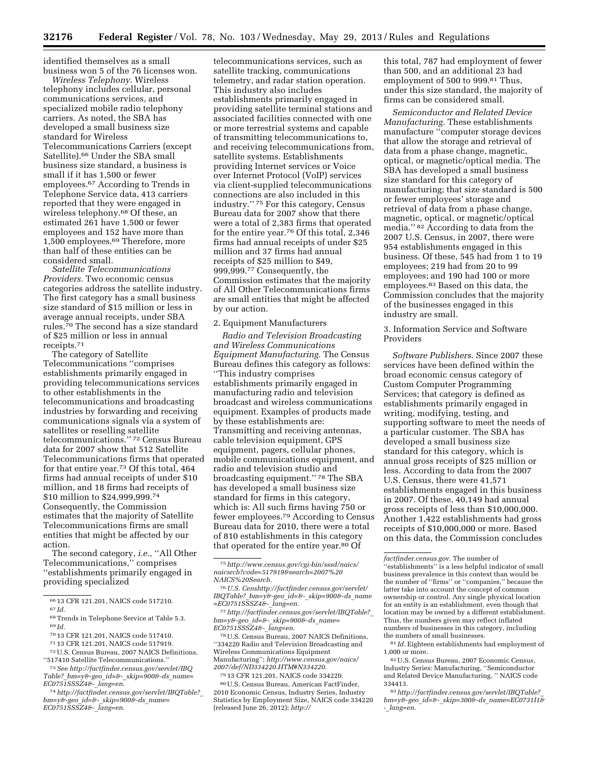identified themselves as a small business won 5 of the 76 licenses won.

*Wireless Telephony.* Wireless telephony includes cellular, personal communications services, and specialized mobile radio telephony carriers. As noted, the SBA has developed a small business size standard for Wireless Telecommunications Carriers (except Satellite).66 Under the SBA small business size standard, a business is small if it has 1,500 or fewer employees.67 According to Trends in Telephone Service data, 413 carriers reported that they were engaged in wireless telephony.<sup>68</sup> Of these, an estimated 261 have 1,500 or fewer employees and 152 have more than 1,500 employees.69 Therefore, more than half of these entities can be considered small.

*Satellite Telecommunications Providers.* Two economic census categories address the satellite industry. The first category has a small business size standard of \$15 million or less in average annual receipts, under SBA rules.70 The second has a size standard of \$25 million or less in annual receipts.71

The category of Satellite Telecommunications ''comprises establishments primarily engaged in providing telecommunications services to other establishments in the telecommunications and broadcasting industries by forwarding and receiving communications signals via a system of satellites or reselling satellite telecommunications.'' 72 Census Bureau data for 2007 show that 512 Satellite Telecommunications firms that operated for that entire year.73 Of this total, 464 firms had annual receipts of under \$10 million, and 18 firms had receipts of \$10 million to \$24,999,999.74 Consequently, the Commission estimates that the majority of Satellite Telecommunications firms are small entities that might be affected by our action.

The second category, *i.e.,* ''All Other Telecommunications,'' comprises ''establishments primarily engaged in providing specialized

- 71 13 CFR 121.201, NAICS code 517919.
- 72U.S. Census Bureau, 2007 NAICS Definitions, ''517410 Satellite Telecommunications.''

73*See [http://factfinder.census.gov/servlet/IBQ](http://factfinder.census.gov/servlet/IBQTable?_bm=y&-geo_id=&-_skip=900&-ds_name=EC0751SSSZ4&-_lang=en) Table?*\_*bm=y&-geo*\_*id=&-*\_*[skip=900&-ds](http://factfinder.census.gov/servlet/IBQTable?_bm=y&-geo_id=&-_skip=900&-ds_name=EC0751SSSZ4&-_lang=en)*\_*name= [EC0751SSSZ4&-](http://factfinder.census.gov/servlet/IBQTable?_bm=y&-geo_id=&-_skip=900&-ds_name=EC0751SSSZ4&-_lang=en)*\_*lang=en*. telecommunications services, such as satellite tracking, communications telemetry, and radar station operation. This industry also includes establishments primarily engaged in providing satellite terminal stations and associated facilities connected with one or more terrestrial systems and capable of transmitting telecommunications to, and receiving telecommunications from, satellite systems. Establishments providing Internet services or Voice over Internet Protocol (VoIP) services via client-supplied telecommunications connections are also included in this industry.'' 75 For this category, Census Bureau data for 2007 show that there were a total of 2,383 firms that operated for the entire year.76 Of this total, 2,346 firms had annual receipts of under \$25 million and 37 firms had annual receipts of \$25 million to \$49, 999,999.77 Consequently, the Commission estimates that the majority of All Other Telecommunications firms are small entities that might be affected by our action.

#### 2. Equipment Manufacturers

*Radio and Television Broadcasting and Wireless Communications Equipment Manufacturing.* The Census Bureau defines this category as follows: ''This industry comprises establishments primarily engaged in manufacturing radio and television broadcast and wireless communications equipment. Examples of products made by these establishments are: Transmitting and receiving antennas, cable television equipment, GPS equipment, pagers, cellular phones, mobile communications equipment, and radio and television studio and broadcasting equipment.'' 78 The SBA has developed a small business size standard for firms in this category, which is: All such firms having 750 or fewer employees.79 According to Census Bureau data for 2010, there were a total of 810 establishments in this category that operated for the entire year.<sup>80</sup> Of

78U.S. Census Bureau, 2007 NAICS Definitions, ''334220 Radio and Television Broadcasting and Wireless Communications Equipment Manufacturing''; *[http://www.census.gov/naics/](http://www.census.gov/naics/2007/def/ND334220.HTM#N334220) [2007/def/ND334220.HTM#N334220](http://www.census.gov/naics/2007/def/ND334220.HTM#N334220)*. 79 13 CFR 121.201, NAICS code 334220.

80U.S. Census Bureau, American FactFinder, 2010 Economic Census, Industry Series, Industry Statistics by Employment Size, NAICS code 334220 (released June 26, 2012); *[http://](http://factfinder.census.gov)* 

this total, 787 had employment of fewer than 500, and an additional 23 had employment of 500 to 999.81 Thus, under this size standard, the majority of firms can be considered small.

*Semiconductor and Related Device Manufacturing.* These establishments manufacture ''computer storage devices that allow the storage and retrieval of data from a phase change, magnetic, optical, or magnetic/optical media. The SBA has developed a small business size standard for this category of manufacturing; that size standard is 500 or fewer employees' storage and retrieval of data from a phase change, magnetic, optical, or magnetic/optical media.'' 82 According to data from the 2007 U.S. Census, in 2007, there were 954 establishments engaged in this business. Of these, 545 had from 1 to 19 employees; 219 had from 20 to 99 employees; and 190 had 100 or more employees.83 Based on this data, the Commission concludes that the majority of the businesses engaged in this industry are small.

3. Information Service and Software Providers

*Software Publishers.* Since 2007 these services have been defined within the broad economic census category of Custom Computer Programming Services; that category is defined as establishments primarily engaged in writing, modifying, testing, and supporting software to meet the needs of a particular customer. The SBA has developed a small business size standard for this category, which is annual gross receipts of \$25 million or less. According to data from the 2007 U.S. Census, there were 41,571 establishments engaged in this business in 2007. Of these, 40,149 had annual gross receipts of less than \$10,000,000. Another 1,422 establishments had gross receipts of \$10,000,000 or more. Based on this data, the Commission concludes

<sup>66</sup> 13 CFR 121.201, NAICS code 517210.

<sup>67</sup> *Id.* 

<sup>68</sup>Trends in Telephone Service at Table 5.3. 69 *Id.* 

<sup>70</sup> 13 CFR 121.201, NAICS code 517410.

<sup>74</sup>*[http://factfinder.census.gov/servlet/IBQTable?](http://factfinder.census.gov/servlet/IBQTable?_bm=y&-geo_id=&-_skip=900&-ds_name=EC0751SSSZ4&-_lang=en)*\_ *bm=y&-geo*\_*id=&-*\_*[skip=900&-ds](http://factfinder.census.gov/servlet/IBQTable?_bm=y&-geo_id=&-_skip=900&-ds_name=EC0751SSSZ4&-_lang=en)*\_*name= [EC0751SSSZ4&-](http://factfinder.census.gov/servlet/IBQTable?_bm=y&-geo_id=&-_skip=900&-ds_name=EC0751SSSZ4&-_lang=en)*\_*lang=en*.

<sup>75</sup>*[http://www.census.gov/cgi-bin/sssd/naics/](http://www.census.gov/cgi-bin/sssd/naics/naicsrch?code=517919&search=2007%20NAICS%20Search) [naicsrch?code=517919&search=2007%20](http://www.census.gov/cgi-bin/sssd/naics/naicsrch?code=517919&search=2007%20NAICS%20Search) [NAICS%20Search](http://www.census.gov/cgi-bin/sssd/naics/naicsrch?code=517919&search=2007%20NAICS%20Search)*.

<sup>76</sup>*U.S. Cen[shttp://factfinder.census.gov/servlet/](http://factfinder.census.gov/servlet/IBQTable?_bm=y&-geo_id=&-_skip=900&-ds_name=EC0751SSSZ4&-_lang=en) IBQTable?*\_*bm=y&-geo*\_*id=&-*\_*[skip=900&-ds](http://factfinder.census.gov/servlet/IBQTable?_bm=y&-geo_id=&-_skip=900&-ds_name=EC0751SSSZ4&-_lang=en)*\_*name [=EC0751SSSZ4&-](http://factfinder.census.gov/servlet/IBQTable?_bm=y&-geo_id=&-_skip=900&-ds_name=EC0751SSSZ4&-_lang=en)*\_*lang=en*.

<sup>77</sup>*[http://factfinder.census.gov/servlet/IBQTable?](http://factfinder.census.gov/servlet/IBQTable?_bm=y&-geo_id=&-_skip=900&-ds_name=EC0751SSSZ4&-_lang=en)*\_ *bm=y&-geo*\_*id=&-*\_*[skip=900&-ds](http://factfinder.census.gov/servlet/IBQTable?_bm=y&-geo_id=&-_skip=900&-ds_name=EC0751SSSZ4&-_lang=en)*\_*name= [EC0751SSSZ4&-](http://factfinder.census.gov/servlet/IBQTable?_bm=y&-geo_id=&-_skip=900&-ds_name=EC0751SSSZ4&-_lang=en)*\_*lang=en*.

*[factfinder.census.gov](http://factfinder.census.gov)*. The number of ''establishments'' is a less helpful indicator of small business prevalence in this context than would be the number of ''firms'' or ''companies,'' because the latter take into account the concept of common ownership or control. Any single physical location for an entity is an establishment, even though that location may be owned by a different establishment. Thus, the numbers given may reflect inflated numbers of businesses in this category, including the numbers of small businesses.

<sup>81</sup> *Id.* Eighteen establishments had employment of 1,000 or more.

<sup>82</sup>U.S. Census Bureau, 2007 Economic Census, Industry Series: Manufacturing, ''Semiconductor and Related Device Manufacturing, '' NAICS code 334413.

<sup>83</sup>*[http://factfinder.census.gov/servlet/IBQTable?](http://factfinder.census.gov/servlet/IBQTable?_bm=y&-geo_id=&-_skip=300&-ds_name=EC0731I1&-_lang=en)*\_ *bm=y&-geo*\_*id=&-*\_*skip=300&-ds*\_*[name=EC0731I1&](http://factfinder.census.gov/servlet/IBQTable?_bm=y&-geo_id=&-_skip=300&-ds_name=EC0731I1&-_lang=en) -*\_*[lang=en](http://factfinder.census.gov/servlet/IBQTable?_bm=y&-geo_id=&-_skip=300&-ds_name=EC0731I1&-_lang=en)*.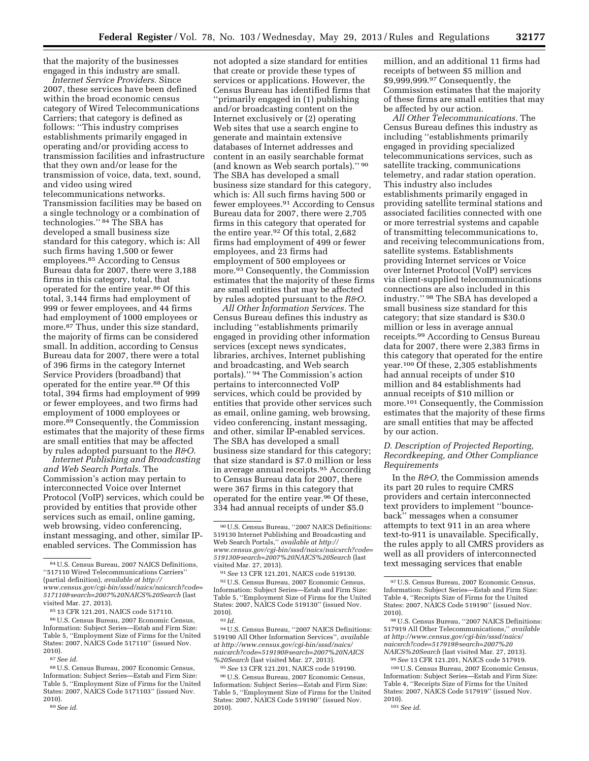that the majority of the businesses engaged in this industry are small.

*Internet Service Providers.* Since 2007, these services have been defined within the broad economic census category of Wired Telecommunications Carriers; that category is defined as follows: ''This industry comprises establishments primarily engaged in operating and/or providing access to transmission facilities and infrastructure that they own and/or lease for the transmission of voice, data, text, sound, and video using wired telecommunications networks. Transmission facilities may be based on a single technology or a combination of technologies.'' 84 The SBA has developed a small business size standard for this category, which is: All such firms having 1,500 or fewer employees.85 According to Census Bureau data for 2007, there were 3,188 firms in this category, total, that operated for the entire year.86 Of this total, 3,144 firms had employment of 999 or fewer employees, and 44 firms had employment of 1000 employees or more.87 Thus, under this size standard, the majority of firms can be considered small. In addition, according to Census Bureau data for 2007, there were a total of 396 firms in the category Internet Service Providers (broadband) that operated for the entire year.88 Of this total, 394 firms had employment of 999 or fewer employees, and two firms had employment of 1000 employees or more.89 Consequently, the Commission estimates that the majority of these firms are small entities that may be affected by rules adopted pursuant to the *R&O*.

*Internet Publishing and Broadcasting and Web Search Portals.* The Commission's action may pertain to interconnected Voice over Internet Protocol (VoIP) services, which could be provided by entities that provide other services such as email, online gaming, web browsing, video conferencing, instant messaging, and other, similar IPenabled services. The Commission has

87*See id.* 

88U.S. Census Bureau, 2007 Economic Census, Information: Subject Series—Estab and Firm Size: Table 5, ''Employment Size of Firms for the United States: 2007, NAICS Code 5171103'' (issued Nov. 2010).

not adopted a size standard for entities that create or provide these types of services or applications. However, the Census Bureau has identified firms that ''primarily engaged in (1) publishing and/or broadcasting content on the Internet exclusively or (2) operating Web sites that use a search engine to generate and maintain extensive databases of Internet addresses and content in an easily searchable format (and known as Web search portals).'' 90 The SBA has developed a small business size standard for this category, which is: All such firms having 500 or fewer employees.91 According to Census Bureau data for 2007, there were 2,705 firms in this category that operated for the entire year.92 Of this total, 2,682 firms had employment of 499 or fewer employees, and 23 firms had employment of 500 employees or more.93 Consequently, the Commission estimates that the majority of these firms are small entities that may be affected by rules adopted pursuant to the *R&O*.

*All Other Information Services.* The Census Bureau defines this industry as including ''establishments primarily engaged in providing other information services (except news syndicates, libraries, archives, Internet publishing and broadcasting, and Web search portals).'' 94 The Commission's action pertains to interconnected VoIP services, which could be provided by entities that provide other services such as email, online gaming, web browsing, video conferencing, instant messaging, and other, similar IP-enabled services. The SBA has developed a small business size standard for this category; that size standard is \$7.0 million or less in average annual receipts.95 According to Census Bureau data for 2007, there were 367 firms in this category that operated for the entire year.96 Of these, 334 had annual receipts of under \$5.0

92U.S. Census Bureau, 2007 Economic Census, Information: Subject Series—Estab and Firm Size: Table 5, ''Employment Size of Firms for the United States: 2007, NAICS Code 519130'' (issued Nov. 2010).

94U.S. Census Bureau, ''2007 NAICS Definitions: 519190 All Other Information Services'', *available at [http://www.census.gov/cgi-bin/sssd/naics/](http://www.census.gov/cgi-bin/sssd/naics/naicsrch?code=519190&search=2007%20NAICS%20Search) [naicsrch?code=519190&search=2007%20NAICS](http://www.census.gov/cgi-bin/sssd/naics/naicsrch?code=519190&search=2007%20NAICS%20Search) [%20Search](http://www.census.gov/cgi-bin/sssd/naics/naicsrch?code=519190&search=2007%20NAICS%20Search)* (last visited Mar. 27, 2013).

95*See* 13 CFR 121.201, NAICS code 519190.

96U.S. Census Bureau, 2007 Economic Census, Information: Subject Series—Estab and Firm Size: Table 5, ''Employment Size of Firms for the United States: 2007, NAICS Code 519190'' (issued Nov. 2010).

million, and an additional 11 firms had receipts of between \$5 million and \$9,999,999.97 Consequently, the Commission estimates that the majority of these firms are small entities that may be affected by our action.

*All Other Telecommunications.* The Census Bureau defines this industry as including ''establishments primarily engaged in providing specialized telecommunications services, such as satellite tracking, communications telemetry, and radar station operation. This industry also includes establishments primarily engaged in providing satellite terminal stations and associated facilities connected with one or more terrestrial systems and capable of transmitting telecommunications to, and receiving telecommunications from, satellite systems. Establishments providing Internet services or Voice over Internet Protocol (VoIP) services via client-supplied telecommunications connections are also included in this industry.'' 98 The SBA has developed a small business size standard for this category; that size standard is \$30.0 million or less in average annual receipts.99 According to Census Bureau data for 2007, there were 2,383 firms in this category that operated for the entire year.100 Of these, 2,305 establishments had annual receipts of under \$10 million and 84 establishments had annual receipts of \$10 million or more.101 Consequently, the Commission estimates that the majority of these firms are small entities that may be affected by our action.

## *D. Description of Projected Reporting, Recordkeeping, and Other Compliance Requirements*

In the *R&O*, the Commission amends its part 20 rules to require CMRS providers and certain interconnected text providers to implement ''bounceback'' messages when a consumer attempts to text 911 in an area where text-to-911 is unavailable. Specifically, the rules apply to all CMRS providers as well as all providers of interconnected text messaging services that enable

100U.S. Census Bureau, 2007 Economic Census, Information: Subject Series—Estab and Firm Size: Table 4, ''Receipts Size of Firms for the United States: 2007, NAICS Code 517919'' (issued Nov. 2010).

<sup>84</sup>U.S. Census Bureau, 2007 NAICS Definitions, ''517110 Wired Telecommunications Carriers'' (partial definition), *available at [http://](http://www.census.gov/cgi-bin/sssd/naics/naicsrch?code=517110&search=2007%20NAICS%20Search) [www.census.gov/cgi-bin/sssd/naics/naicsrch?code=](http://www.census.gov/cgi-bin/sssd/naics/naicsrch?code=517110&search=2007%20NAICS%20Search) [517110&search=2007%20NAICS%20Search](http://www.census.gov/cgi-bin/sssd/naics/naicsrch?code=517110&search=2007%20NAICS%20Search)* (last visited Mar. 27, 2013).

<sup>85</sup> 13 CFR 121.201, NAICS code 517110.

<sup>86</sup>U.S. Census Bureau, 2007 Economic Census, Information: Subject Series—Estab and Firm Size: Table 5, ''Employment Size of Firms for the United States: 2007, NAICS Code 517110'' (issued Nov. 2010).

<sup>89</sup>*See id.* 

<sup>90</sup>U.S. Census Bureau, ''2007 NAICS Definitions: 519130 Internet Publishing and Broadcasting and Web Search Portals,'' *available at [http://](http://www.census.gov/cgi-bin/sssd/naics/naicsrch?code=519130&search=2007%20NAICS%20Search) [www.census.gov/cgi-bin/sssd/naics/naicsrch?code=](http://www.census.gov/cgi-bin/sssd/naics/naicsrch?code=519130&search=2007%20NAICS%20Search) [519130&search=2007%20NAICS%20Search](http://www.census.gov/cgi-bin/sssd/naics/naicsrch?code=519130&search=2007%20NAICS%20Search)* (last visited Mar. 27, 2013).

<sup>91</sup>*See* 13 CFR 121.201, NAICS code 519130.

<sup>93</sup> *Id.* 

<sup>97</sup>U.S. Census Bureau, 2007 Economic Census, Information: Subject Series—Estab and Firm Size: Table 4, ''Receipts Size of Firms for the United States: 2007, NAICS Code 519190'' (issued Nov. 2010).

<sup>98</sup>U.S. Census Bureau, ''2007 NAICS Definitions: 517919 All Other Telecommunications,'' *available at [http://www.census.gov/cgi-bin/sssd/naics/](http://www.census.gov/cgi-bin/sssd/naics/naicsrch?code=517919&search=2007%20NAICS%20Search) [naicsrch?code=517919&search=2007%20](http://www.census.gov/cgi-bin/sssd/naics/naicsrch?code=517919&search=2007%20NAICS%20Search) [NAICS%20Search](http://www.census.gov/cgi-bin/sssd/naics/naicsrch?code=517919&search=2007%20NAICS%20Search)* (last visited Mar. 27, 2013). 99*See* 13 CFR 121.201, NAICS code 517919.

<sup>101</sup>*See id.*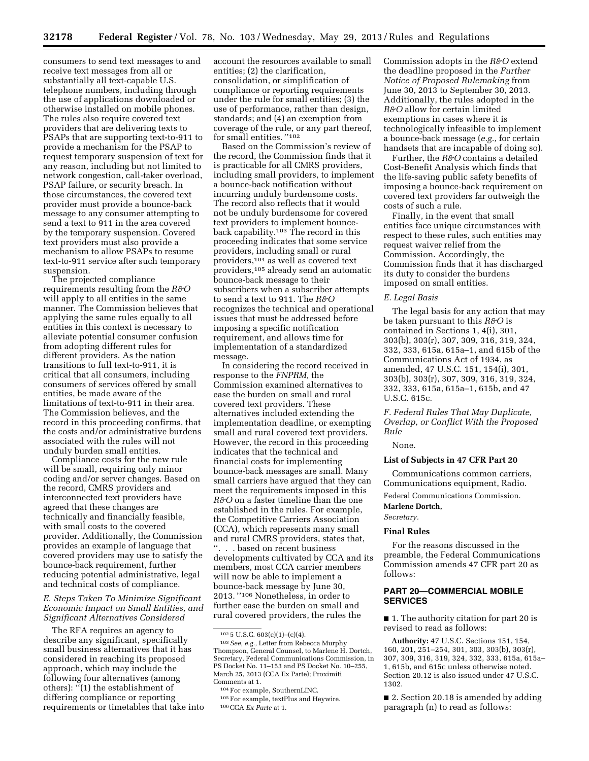consumers to send text messages to and receive text messages from all or substantially all text-capable U.S. telephone numbers, including through the use of applications downloaded or otherwise installed on mobile phones. The rules also require covered text providers that are delivering texts to PSAPs that are supporting text-to-911 to provide a mechanism for the PSAP to request temporary suspension of text for any reason, including but not limited to network congestion, call-taker overload, PSAP failure, or security breach. In those circumstances, the covered text provider must provide a bounce-back message to any consumer attempting to send a text to 911 in the area covered by the temporary suspension. Covered text providers must also provide a mechanism to allow PSAPs to resume text-to-911 service after such temporary suspension.

The projected compliance requirements resulting from the *R&O*  will apply to all entities in the same manner. The Commission believes that applying the same rules equally to all entities in this context is necessary to alleviate potential consumer confusion from adopting different rules for different providers. As the nation transitions to full text-to-911, it is critical that all consumers, including consumers of services offered by small entities, be made aware of the limitations of text-to-911 in their area. The Commission believes, and the record in this proceeding confirms, that the costs and/or administrative burdens associated with the rules will not unduly burden small entities.

Compliance costs for the new rule will be small, requiring only minor coding and/or server changes. Based on the record, CMRS providers and interconnected text providers have agreed that these changes are technically and financially feasible, with small costs to the covered provider. Additionally, the Commission provides an example of language that covered providers may use to satisfy the bounce-back requirement, further reducing potential administrative, legal and technical costs of compliance.

## *E. Steps Taken To Minimize Significant Economic Impact on Small Entities, and Significant Alternatives Considered*

The RFA requires an agency to describe any significant, specifically small business alternatives that it has considered in reaching its proposed approach, which may include the following four alternatives (among others):  $\cdot$ <sup>7</sup>(1) the establishment of differing compliance or reporting requirements or timetables that take into account the resources available to small entities; (2) the clarification, consolidation, or simplification of compliance or reporting requirements under the rule for small entities; (3) the use of performance, rather than design, standards; and (4) an exemption from coverage of the rule, or any part thereof, for small entities. ''102

Based on the Commission's review of the record, the Commission finds that it is practicable for all CMRS providers, including small providers, to implement a bounce-back notification without incurring unduly burdensome costs. The record also reflects that it would not be unduly burdensome for covered text providers to implement bounceback capability.103 The record in this proceeding indicates that some service providers, including small or rural providers,104 as well as covered text providers,105 already send an automatic bounce-back message to their subscribers when a subscriber attempts to send a text to 911. The *R&O*  recognizes the technical and operational issues that must be addressed before imposing a specific notification requirement, and allows time for implementation of a standardized message.

In considering the record received in response to the *FNPRM,* the Commission examined alternatives to ease the burden on small and rural covered text providers. These alternatives included extending the implementation deadline, or exempting small and rural covered text providers. However, the record in this proceeding indicates that the technical and financial costs for implementing bounce-back messages are small. Many small carriers have argued that they can meet the requirements imposed in this *R&O* on a faster timeline than the one established in the rules. For example, the Competitive Carriers Association (CCA), which represents many small and rural CMRS providers, states that, ''. . . based on recent business developments cultivated by CCA and its members, most CCA carrier members will now be able to implement a bounce-back message by June 30, 2013. ''106 Nonetheless, in order to further ease the burden on small and rural covered providers, the rules the

106CCA *Ex Parte* at 1.

Commission adopts in the *R&O* extend the deadline proposed in the *Further Notice of Proposed Rulemaking* from June 30, 2013 to September 30, 2013. Additionally, the rules adopted in the *R&O* allow for certain limited exemptions in cases where it is technologically infeasible to implement a bounce-back message (*e.g.,* for certain handsets that are incapable of doing so).

Further, the *R&O* contains a detailed Cost-Benefit Analysis which finds that the life-saving public safety benefits of imposing a bounce-back requirement on covered text providers far outweigh the costs of such a rule.

Finally, in the event that small entities face unique circumstances with respect to these rules, such entities may request waiver relief from the Commission. Accordingly, the Commission finds that it has discharged its duty to consider the burdens imposed on small entities.

#### *E. Legal Basis*

The legal basis for any action that may be taken pursuant to this *R&O* is contained in Sections 1, 4(i), 301, 303(b), 303(r), 307, 309, 316, 319, 324, 332, 333, 615a, 615a–1, and 615b of the Communications Act of 1934, as amended, 47 U.S.C. 151, 154(i), 301, 303(b), 303(r), 307, 309, 316, 319, 324, 332, 333, 615a, 615a–1, 615b, and 47 U.S.C. 615c.

# *F. Federal Rules That May Duplicate, Overlap, or Conflict With the Proposed Rule*

#### None.

# **List of Subjects in 47 CFR Part 20**

Communications common carriers, Communications equipment, Radio.

Federal Communications Commission. **Marlene Dortch,** 

*Secretary.* 

#### **Final Rules**

For the reasons discussed in the preamble, the Federal Communications Commission amends 47 CFR part 20 as follows:

# **PART 20—COMMERCIAL MOBILE SERVICES**

■ 1. The authority citation for part 20 is revised to read as follows:

**Authority:** 47 U.S.C. Sections 151, 154, 160, 201, 251–254, 301, 303, 303(b), 303(r), 307, 309, 316, 319, 324, 332, 333, 615a, 615a– 1, 615b, and 615c unless otherwise noted. Section 20.12 is also issued under 47 U.S.C. 1302.

■ 2. Section 20.18 is amended by adding paragraph (n) to read as follows:

<sup>102</sup> 5 U.S.C. 603(c)(1)–(c)(4).

<sup>103</sup>*See, e.g.,* Letter from Rebecca Murphy Thompson, General Counsel, to Marlene H. Dortch, Secretary, Federal Communications Commission, in PS Docket No. 11–153 and PS Docket No. 10–255, March 25, 2013 (CCA Ex Parte); Proximiti Comments at 1.

<sup>104</sup>For example, SouthernLINC.

<sup>105</sup>For example, textPlus and Heywire.